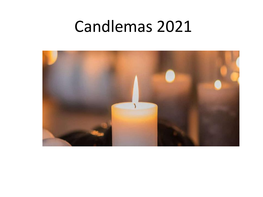# Candlemas 2021

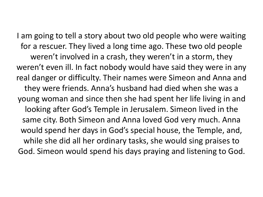I am going to tell a story about two old people who were waiting for a rescuer. They lived a long time ago. These two old people weren't involved in a crash, they weren't in a storm, they weren't even ill. In fact nobody would have said they were in any real danger or difficulty. Their names were Simeon and Anna and they were friends. Anna's husband had died when she was a young woman and since then she had spent her life living in and looking after God's Temple in Jerusalem. Simeon lived in the same city. Both Simeon and Anna loved God very much. Anna would spend her days in God's special house, the Temple, and, while she did all her ordinary tasks, she would sing praises to God. Simeon would spend his days praying and listening to God.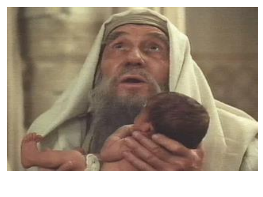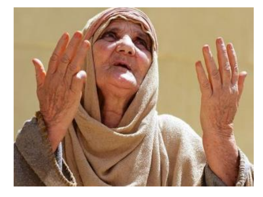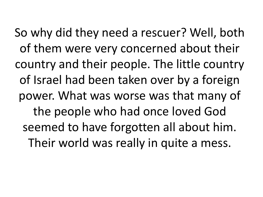So why did they need a rescuer? Well, both of them were very concerned about their country and their people. The little country of Israel had been taken over by a foreign power. What was worse was that many of the people who had once loved God seemed to have forgotten all about him. Their world was really in quite a mess.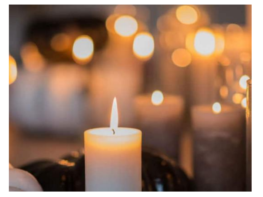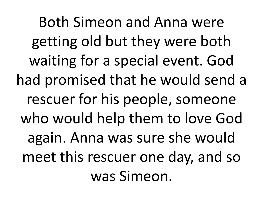Both Simeon and Anna were getting old but they were both waiting for a special event. God had promised that he would send a rescuer for his people, someone who would help them to love God again. Anna was sure she would meet this rescuer one day, and so was Simeon.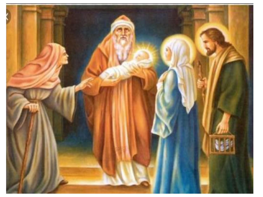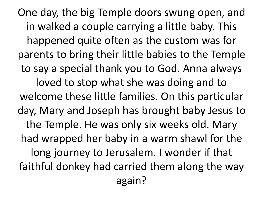One day, the big Temple doors swung open, and in walked a couple carrying a little baby. This happened quite often as the custom was for parents to bring their little babies to the Temple to say a special thank you to God. Anna always loved to stop what she was doing and to welcome these little families. On this particular day, Mary and Joseph has brought baby Jesus to the Temple. He was only six weeks old. Mary had wrapped her baby in a warm shawl for the long journey to Jerusalem. I wonder if that faithful donkey had carried them along the way again?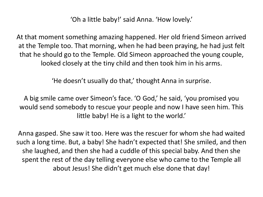'Oh a little baby!' said Anna. 'How lovely.'

At that moment something amazing happened. Her old friend Simeon arrived at the Temple too. That morning, when he had been praying, he had just felt that he should go to the Temple. Old Simeon approached the young couple, looked closely at the tiny child and then took him in his arms.

'He doesn't usually do that,' thought Anna in surprise.

A big smile came over Simeon's face. 'O God,' he said, 'you promised you would send somebody to rescue your people and now I have seen him. This little baby! He is a light to the world.'

Anna gasped. She saw it too. Here was the rescuer for whom she had waited such a long time. But, a baby! She hadn't expected that! She smiled, and then she laughed, and then she had a cuddle of this special baby. And then she spent the rest of the day telling everyone else who came to the Temple all about Jesus! She didn't get much else done that day!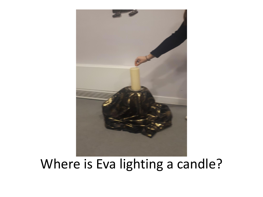

Where is Eva lighting a candle?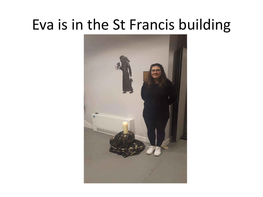# Eva is in the St Francis building

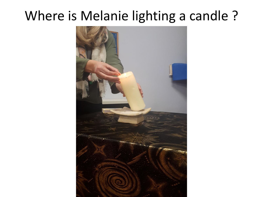#### Where is Melanie lighting a candle ?

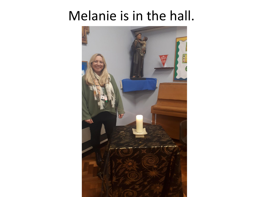### Melanie is in the hall.

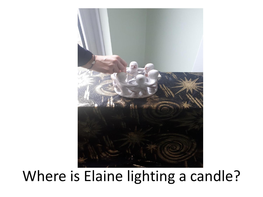

# Where is Elaine lighting a candle?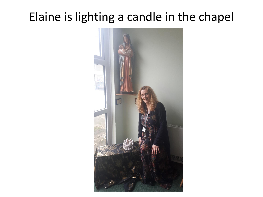#### Elaine is lighting a candle in the chapel

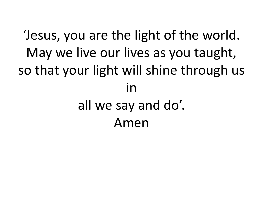'Jesus, you are the light of the world. May we live our lives as you taught, so that your light will shine through us in all we say and do'. Amen